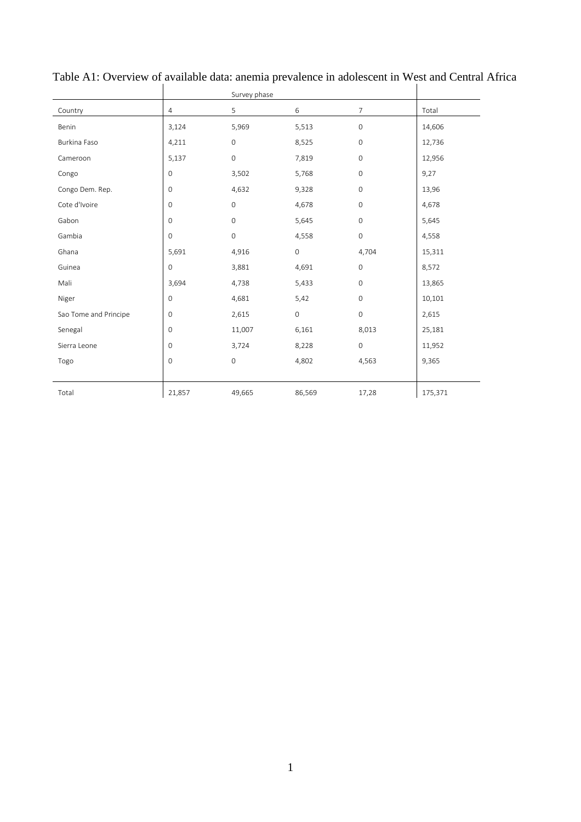|                       |                     | Survey phase        |              |                     |         |
|-----------------------|---------------------|---------------------|--------------|---------------------|---------|
| Country               | 4                   | 5                   | 6            | 7                   | Total   |
| Benin                 | 3,124               | 5,969               | 5,513        | $\mathbf 0$         | 14,606  |
| Burkina Faso          | 4,211               | $\mathbf{O}$        | 8,525        | $\mathbf{O}$        | 12,736  |
| Cameroon              | 5,137               | $\mathsf{O}\xspace$ | 7,819        | 0                   | 12,956  |
| Congo                 | $\mathbb O$         | 3,502               | 5,768        | $\mathbf 0$         | 9,27    |
| Congo Dem. Rep.       | $\mathsf{O}\xspace$ | 4,632               | 9,328        | $\mathbf 0$         | 13,96   |
| Cote d'Ivoire         | $\mathsf{O}\xspace$ | $\mathsf{O}\xspace$ | 4,678        | $\mathbf{O}$        | 4,678   |
| Gabon                 | $\mathsf{O}\xspace$ | $\mathsf{O}\xspace$ | 5,645        | $\mathsf{O}\xspace$ | 5,645   |
| Gambia                | $\mathsf{O}\xspace$ | $\mathsf{O}\xspace$ | 4,558        | $\mathsf{O}$        | 4,558   |
| Ghana                 | 5,691               | 4,916               | $\mathsf O$  | 4,704               | 15,311  |
| Guinea                | $\mathsf{O}\xspace$ | 3,881               | 4,691        | $\mathbf{0}$        | 8,572   |
| Mali                  | 3,694               | 4,738               | 5,433        | $\mathbf 0$         | 13,865  |
| Niger                 | $\mathsf{O}\xspace$ | 4,681               | 5,42         | $\mathbf{0}$        | 10,101  |
| Sao Tome and Principe | 0                   | 2,615               | $\mathsf{O}$ | $\mathsf{O}\xspace$ | 2,615   |
| Senegal               | $\mathsf{O}\xspace$ | 11,007              | 6,161        | 8,013               | 25,181  |
| Sierra Leone          | $\mathsf{O}\xspace$ | 3,724               | 8,228        | $\mathsf{O}\xspace$ | 11,952  |
| Togo                  | $\mathbf 0$         | $\mathbf 0$         | 4,802        | 4,563               | 9,365   |
|                       |                     |                     |              |                     |         |
| Total                 | 21,857              | 49,665              | 86,569       | 17,28               | 175,371 |

Table A1: Overview of available data: anemia prevalence in adolescent in West and Central Africa